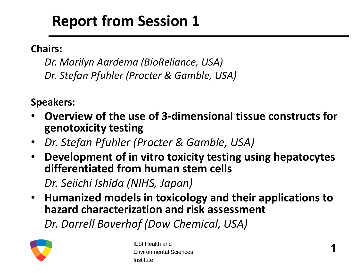#### **Report from Session 1**

#### **Chairs:**

*Dr. Marilyn Aardema (BioReliance, USA) Dr. Stefan Pfuhler (Procter & Gamble, USA)*

**Speakers:** 

- **Overview of the use of 3-dimensional tissue constructs for genotoxicity testing**
- *Dr. Stefan Pfuhler (Procter & Gamble, USA)*
- **Development of in vitro toxicity testing using hepatocytes differentiated from human stem cells**

*Dr. Seiichi Ishida (NIHS, Japan)*

• **Humanized models in toxicology and their applications to hazard characterization and risk assessment** 

*Dr. Darrell Boverhof (Dow Chemical, USA)*

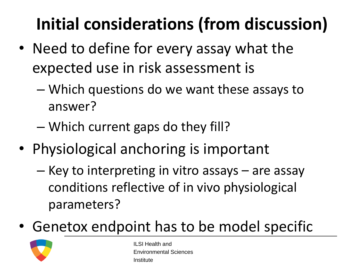### **Initial considerations (from discussion)**

- Need to define for every assay what the expected use in risk assessment is
	- Which questions do we want these assays to answer?
	- Which current gaps do they fill?
- Physiological anchoring is important
	- Key to interpreting in vitro assays are assay conditions reflective of in vivo physiological parameters?
- Genetox endpoint has to be model specific

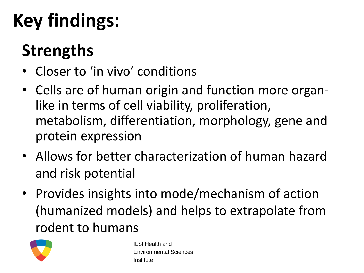#### **Strengths**

- Closer to 'in vivo' conditions
- Cells are of human origin and function more organlike in terms of cell viability, proliferation, metabolism, differentiation, morphology, gene and protein expression
- Allows for better characterization of human hazard and risk potential
- Provides insights into mode/mechanism of action (humanized models) and helps to extrapolate from rodent to humans

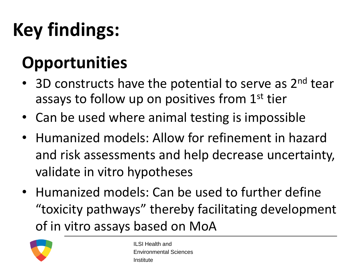#### **Opportunities**

- 3D constructs have the potential to serve as 2<sup>nd</sup> tear assays to follow up on positives from 1<sup>st</sup> tier
- Can be used where animal testing is impossible
- Humanized models: Allow for refinement in hazard and risk assessments and help decrease uncertainty, validate in vitro hypotheses
- Humanized models: Can be used to further define "toxicity pathways" thereby facilitating development of in vitro assays based on MoA

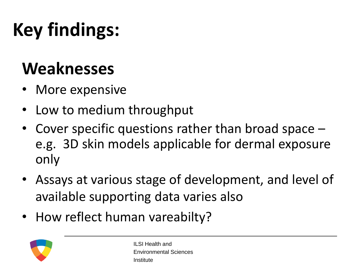#### **Weaknesses**

- More expensive
- Low to medium throughput
- Cover specific questions rather than broad space e.g. 3D skin models applicable for dermal exposure only
- Assays at various stage of development, and level of available supporting data varies also
- How reflect human vareabilty?

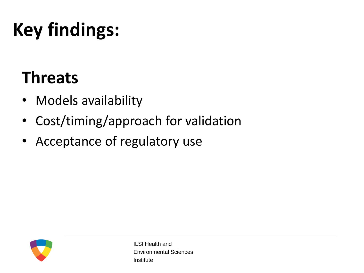#### **Threats**

- Models availability
- Cost/timing/approach for validation
- Acceptance of regulatory use

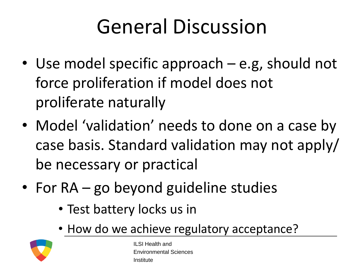# General Discussion

- Use model specific approach e.g, should not force proliferation if model does not proliferate naturally
- Model 'validation' needs to done on a case by case basis. Standard validation may not apply/ be necessary or practical
- For RA go beyond guideline studies
	- Test battery locks us in
	- How do we achieve regulatory acceptance?